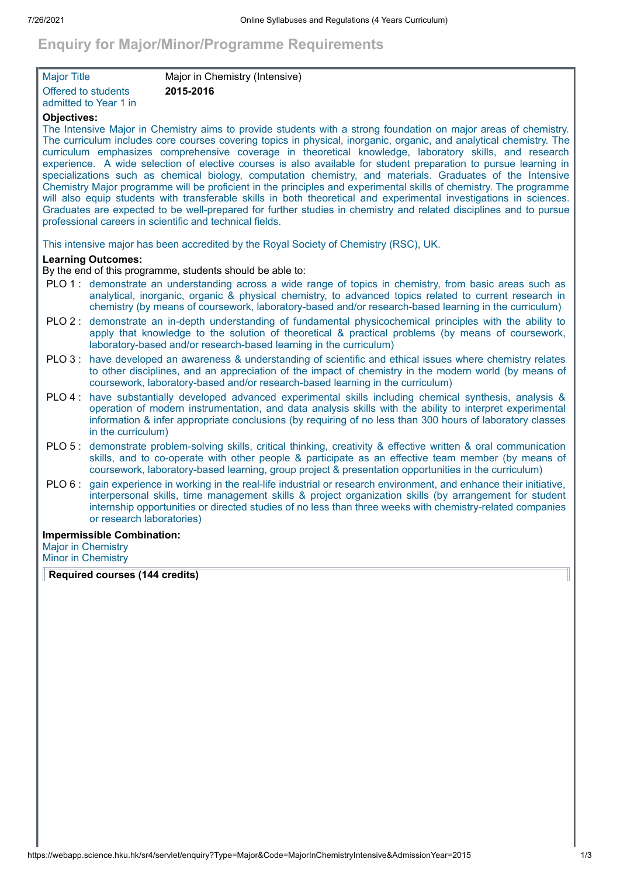# **Enquiry for Major/Minor/Programme Requirements**

| <b>Major Title</b>    | Major in Chemistry (Intensive) |  |
|-----------------------|--------------------------------|--|
| Offered to students   | 2015-2016                      |  |
| admitted to Year 1 in |                                |  |

# **Objectives:**

The Intensive Major in Chemistry aims to provide students with a strong foundation on major areas of chemistry. The curriculum includes core courses covering topics in physical, inorganic, organic, and analytical chemistry. The curriculum emphasizes comprehensive coverage in theoretical knowledge, laboratory skills, and research experience. A wide selection of elective courses is also available for student preparation to pursue learning in specializations such as chemical biology, computation chemistry, and materials. Graduates of the Intensive Chemistry Major programme will be proficient in the principles and experimental skills of chemistry. The programme will also equip students with transferable skills in both theoretical and experimental investigations in sciences. Graduates are expected to be well-prepared for further studies in chemistry and related disciplines and to pursue professional careers in scientific and technical fields.

This intensive major has been accredited by the Royal Society of Chemistry (RSC), UK.

## **Learning Outcomes:**

By the end of this programme, students should be able to:

- PLO 1 : demonstrate an understanding across a wide range of topics in chemistry, from basic areas such as analytical, inorganic, organic & physical chemistry, to advanced topics related to current research in chemistry (by means of coursework, laboratory-based and/or research-based learning in the curriculum)
- PLO 2 : demonstrate an in-depth understanding of fundamental physicochemical principles with the ability to apply that knowledge to the solution of theoretical & practical problems (by means of coursework, laboratory-based and/or research-based learning in the curriculum)
- PLO 3 : have developed an awareness & understanding of scientific and ethical issues where chemistry relates to other disciplines, and an appreciation of the impact of chemistry in the modern world (by means of coursework, laboratory-based and/or research-based learning in the curriculum)
- PLO 4 : have substantially developed advanced experimental skills including chemical synthesis, analysis & operation of modern instrumentation, and data analysis skills with the ability to interpret experimental information & infer appropriate conclusions (by requiring of no less than 300 hours of laboratory classes in the curriculum)
- PLO 5 : demonstrate problem-solving skills, critical thinking, creativity & effective written & oral communication skills, and to co-operate with other people & participate as an effective team member (by means of coursework, laboratory-based learning, group project & presentation opportunities in the curriculum)
- PLO 6 : gain experience in working in the real-life industrial or research environment, and enhance their initiative, interpersonal skills, time management skills & project organization skills (by arrangement for student internship opportunities or directed studies of no less than three weeks with chemistry-related companies or research laboratories)

#### **Impermissible Combination:**

Major in Chemistry Minor in Chemistry

**Required courses (144 credits)**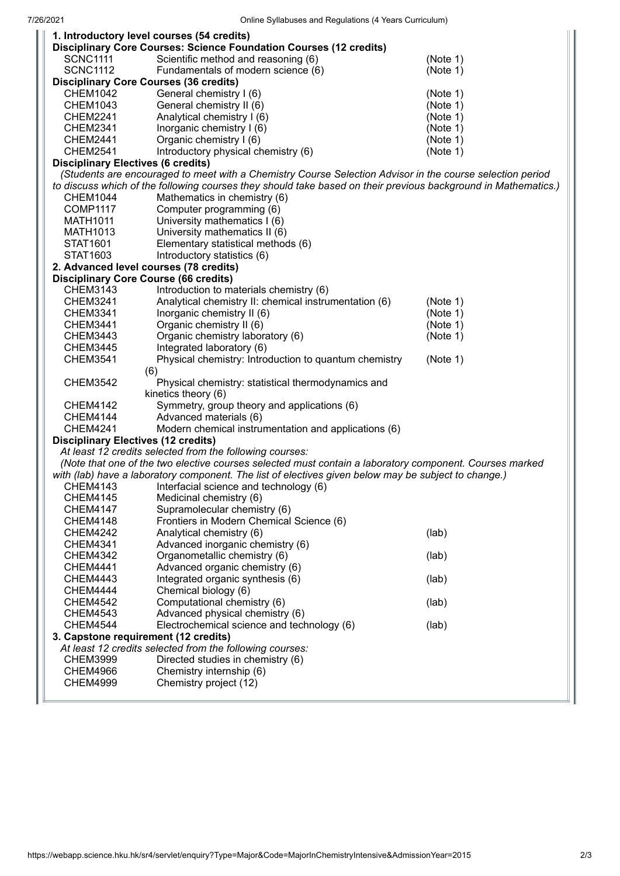|                                                                                                                | 1. Introductory level courses (54 credits)                         |          |  |
|----------------------------------------------------------------------------------------------------------------|--------------------------------------------------------------------|----------|--|
|                                                                                                                | Disciplinary Core Courses: Science Foundation Courses (12 credits) |          |  |
| <b>SCNC1111</b>                                                                                                | Scientific method and reasoning (6)                                | (Note 1) |  |
| <b>SCNC1112</b>                                                                                                | Fundamentals of modern science (6)                                 | (Note 1) |  |
|                                                                                                                | <b>Disciplinary Core Courses (36 credits)</b>                      |          |  |
| <b>CHEM1042</b>                                                                                                | General chemistry I (6)                                            | (Note 1) |  |
| <b>CHEM1043</b>                                                                                                | General chemistry II (6)                                           | (Note 1) |  |
| <b>CHEM2241</b>                                                                                                | Analytical chemistry I (6)                                         | (Note 1) |  |
| <b>CHEM2341</b>                                                                                                | Inorganic chemistry I (6)                                          | (Note 1) |  |
| <b>CHEM2441</b>                                                                                                | Organic chemistry I (6)                                            | (Note 1) |  |
| <b>CHEM2541</b>                                                                                                | Introductory physical chemistry (6)                                | (Note 1) |  |
| <b>Disciplinary Electives (6 credits)</b>                                                                      |                                                                    |          |  |
| (Students are encouraged to meet with a Chemistry Course Selection Advisor in the course selection period      |                                                                    |          |  |
| to discuss which of the following courses they should take based on their previous background in Mathematics.) |                                                                    |          |  |
| <b>CHEM1044</b>                                                                                                | Mathematics in chemistry (6)                                       |          |  |
| COMP1117                                                                                                       | Computer programming (6)                                           |          |  |
| <b>MATH1011</b>                                                                                                | University mathematics I (6)                                       |          |  |
| MATH1013                                                                                                       | University mathematics II (6)                                      |          |  |
| STAT1601                                                                                                       | Elementary statistical methods (6)                                 |          |  |
| STAT1603                                                                                                       | Introductory statistics (6)                                        |          |  |
|                                                                                                                | 2. Advanced level courses (78 credits)                             |          |  |
|                                                                                                                | <b>Disciplinary Core Course (66 credits)</b>                       |          |  |
| CHEM3143                                                                                                       | Introduction to materials chemistry (6)                            |          |  |
| <b>CHEM3241</b>                                                                                                | Analytical chemistry II: chemical instrumentation (6)              | (Note 1) |  |
| <b>CHEM3341</b>                                                                                                | Inorganic chemistry II (6)                                         | (Note 1) |  |
| <b>CHEM3441</b>                                                                                                | Organic chemistry II (6)                                           | (Note 1) |  |
| <b>CHEM3443</b>                                                                                                | Organic chemistry laboratory (6)                                   | (Note 1) |  |
| <b>CHEM3445</b>                                                                                                | Integrated laboratory (6)                                          |          |  |
| <b>CHEM3541</b>                                                                                                | Physical chemistry: Introduction to quantum chemistry              | (Note 1) |  |
|                                                                                                                | (6)                                                                |          |  |
| <b>CHEM3542</b>                                                                                                | Physical chemistry: statistical thermodynamics and                 |          |  |
|                                                                                                                | kinetics theory (6)                                                |          |  |
| <b>CHEM4142</b>                                                                                                | Symmetry, group theory and applications (6)                        |          |  |
| <b>CHEM4144</b>                                                                                                | Advanced materials (6)                                             |          |  |
| <b>CHEM4241</b>                                                                                                | Modern chemical instrumentation and applications (6)               |          |  |
| <b>Disciplinary Electives (12 credits)</b>                                                                     |                                                                    |          |  |
| At least 12 credits selected from the following courses:                                                       |                                                                    |          |  |
| (Note that one of the two elective courses selected must contain a laboratory component. Courses marked        |                                                                    |          |  |
| with (lab) have a laboratory component. The list of electives given below may be subject to change.)           |                                                                    |          |  |
| <b>CHEM4143</b>                                                                                                | Interfacial science and technology (6)                             |          |  |
| <b>CHEM4145</b>                                                                                                | Medicinal chemistry (6)                                            |          |  |
| <b>CHEM4147</b>                                                                                                | Supramolecular chemistry (6)                                       |          |  |
| <b>CHEM4148</b>                                                                                                | Frontiers in Modern Chemical Science (6)                           |          |  |
| <b>CHEM4242</b>                                                                                                | Analytical chemistry (6)                                           | (lab)    |  |
| <b>CHEM4341</b>                                                                                                | Advanced inorganic chemistry (6)                                   |          |  |
| <b>CHEM4342</b>                                                                                                | Organometallic chemistry (6)                                       | (lab)    |  |
| <b>CHEM4441</b>                                                                                                | Advanced organic chemistry (6)                                     |          |  |
| <b>CHEM4443</b>                                                                                                | Integrated organic synthesis (6)                                   | (lab)    |  |
| CHEM4444                                                                                                       | Chemical biology (6)                                               |          |  |
| <b>CHEM4542</b>                                                                                                | Computational chemistry (6)                                        | (lab)    |  |
| <b>CHEM4543</b>                                                                                                | Advanced physical chemistry (6)                                    |          |  |
| <b>CHEM4544</b>                                                                                                | Electrochemical science and technology (6)                         | (lab)    |  |
| 3. Capstone requirement (12 credits)                                                                           |                                                                    |          |  |
|                                                                                                                | At least 12 credits selected from the following courses:           |          |  |
| <b>CHEM3999</b>                                                                                                | Directed studies in chemistry (6)                                  |          |  |
| <b>CHEM4966</b>                                                                                                | Chemistry internship (6)                                           |          |  |
| <b>CHEM4999</b>                                                                                                | Chemistry project (12)                                             |          |  |
|                                                                                                                |                                                                    |          |  |